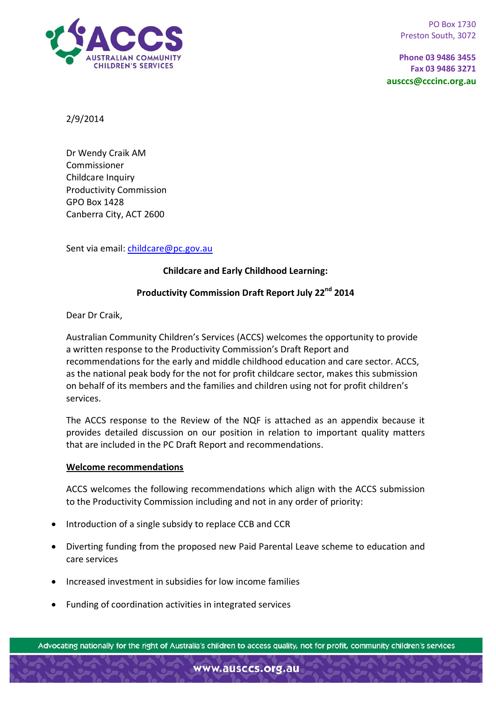

PO Box 1730 Preston South, 3072

**Phone 03 9486 3455 Fax 03 9486 3271 ausccs@cccinc.org.au**

2/9/2014

Dr Wendy Craik AM Commissioner Childcare Inquiry Productivity Commission GPO Box 1428 Canberra City, ACT 2600

Sent via email: [childcare@pc.gov.au](mailto:childcare@pc.gov.au)

# **Childcare and Early Childhood Learning:**

# **Productivity Commission Draft Report July 22nd 2014**

Dear Dr Craik,

Australian Community Children's Services (ACCS) welcomes the opportunity to provide a written response to the Productivity Commission's Draft Report and recommendations for the early and middle childhood education and care sector. ACCS, as the national peak body for the not for profit childcare sector, makes this submission on behalf of its members and the families and children using not for profit children's services.

The ACCS response to the Review of the NQF is attached as an appendix because it provides detailed discussion on our position in relation to important quality matters that are included in the PC Draft Report and recommendations.

### **Welcome recommendations**

ACCS welcomes the following recommendations which align with the ACCS submission to the Productivity Commission including and not in any order of priority:

- Introduction of a single subsidy to replace CCB and CCR
- Diverting funding from the proposed new Paid Parental Leave scheme to education and care services
- Increased investment in subsidies for low income families
- Funding of coordination activities in integrated services

Advocating nationally for the right of Australia's children to access quality, not for profit, community children's services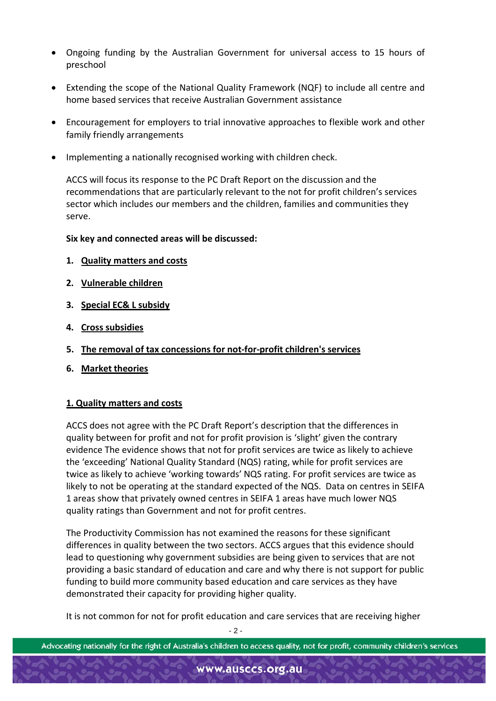- Ongoing funding by the Australian Government for universal access to 15 hours of preschool
- Extending the scope of the National Quality Framework (NQF) to include all centre and home based services that receive Australian Government assistance
- Encouragement for employers to trial innovative approaches to flexible work and other family friendly arrangements
- Implementing a nationally recognised working with children check.

ACCS will focus its response to the PC Draft Report on the discussion and the recommendations that are particularly relevant to the not for profit children's services sector which includes our members and the children, families and communities they serve.

## **Six key and connected areas will be discussed:**

- **1. Quality matters and costs**
- **2. Vulnerable children**
- **3. Special EC& L subsidy**
- **4. Cross subsidies**
- **5. The removal of tax concessions for not-for-profit children's services**
- **6. Market theories**

## **1. Quality matters and costs**

ACCS does not agree with the PC Draft Report's description that the differences in quality between for profit and not for profit provision is 'slight' given the contrary evidence The evidence shows that not for profit services are twice as likely to achieve the 'exceeding' National Quality Standard (NQS) rating, while for profit services are twice as likely to achieve 'working towards' NQS rating. For profit services are twice as likely to not be operating at the standard expected of the NQS. Data on centres in SEIFA 1 areas show that privately owned centres in SEIFA 1 areas have much lower NQS quality ratings than Government and not for profit centres.

The Productivity Commission has not examined the reasons for these significant differences in quality between the two sectors. ACCS argues that this evidence should lead to questioning why government subsidies are being given to services that are not providing a basic standard of education and care and why there is not support for public funding to build more community based education and care services as they have demonstrated their capacity for providing higher quality.

It is not common for not for profit education and care services that are receiving higher

 $-2 -$ 

Advocating nationally for the right of Australia's children to access quality, not for profit, community children's services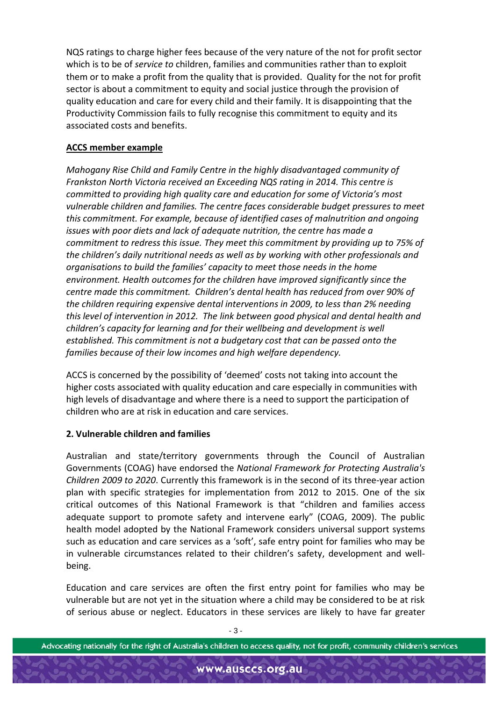NQS ratings to charge higher fees because of the very nature of the not for profit sector which is to be of *service to* children, families and communities rather than to exploit them or to make a profit from the quality that is provided. Quality for the not for profit sector is about a commitment to equity and social justice through the provision of quality education and care for every child and their family. It is disappointing that the Productivity Commission fails to fully recognise this commitment to equity and its associated costs and benefits.

# **ACCS member example**

*Mahogany Rise Child and Family Centre in the highly disadvantaged community of Frankston North Victoria received an Exceeding NQS rating in 2014. This centre is committed to providing high quality care and education for some of Victoria's most vulnerable children and families. The centre faces considerable budget pressures to meet this commitment. For example, because of identified cases of malnutrition and ongoing issues with poor diets and lack of adequate nutrition, the centre has made a commitment to redress this issue. They meet this commitment by providing up to 75% of the children's daily nutritional needs as well as by working with other professionals and organisations to build the families' capacity to meet those needs in the home environment. Health outcomes for the children have improved significantly since the centre made this commitment. Children's dental health has reduced from over 90% of the children requiring expensive dental interventions in 2009, to less than 2% needing this level of intervention in 2012. The link between good physical and dental health and children's capacity for learning and for their wellbeing and development is well established. This commitment is not a budgetary cost that can be passed onto the families because of their low incomes and high welfare dependency.*

ACCS is concerned by the possibility of 'deemed' costs not taking into account the higher costs associated with quality education and care especially in communities with high levels of disadvantage and where there is a need to support the participation of children who are at risk in education and care services.

# **2. Vulnerable children and families**

Australian and state/territory governments through the Council of Australian Governments (COAG) have endorsed the *National Framework for Protecting Australia's Children 2009 to 2020*. Currently this framework is in the second of its three-year action plan with specific strategies for implementation from 2012 to 2015. One of the six critical outcomes of this National Framework is that "children and families access adequate support to promote safety and intervene early" (COAG, 2009). The public health model adopted by the National Framework considers universal support systems such as education and care services as a 'soft', safe entry point for families who may be in vulnerable circumstances related to their children's safety, development and wellbeing.

Education and care services are often the first entry point for families who may be vulnerable but are not yet in the situation where a child may be considered to be at risk of serious abuse or neglect. Educators in these services are likely to have far greater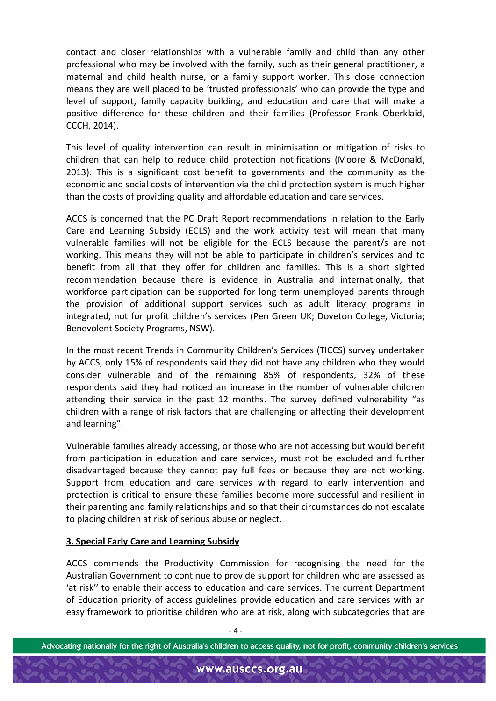contact and closer relationships with a vulnerable family and child than any other professional who may be involved with the family, such as their general practitioner, a maternal and child health nurse, or a family support worker. This close connection means they are well placed to be 'trusted professionals' who can provide the type and level of support, family capacity building, and education and care that will make a positive difference for these children and their families (Professor Frank Oberklaid, CCCH, 2014).

This level of quality intervention can result in minimisation or mitigation of risks to children that can help to reduce child protection notifications (Moore & McDonald, 2013). This is a significant cost benefit to governments and the community as the economic and social costs of intervention via the child protection system is much higher than the costs of providing quality and affordable education and care services.

ACCS is concerned that the PC Draft Report recommendations in relation to the Early Care and Learning Subsidy (ECLS) and the work activity test will mean that many vulnerable families will not be eligible for the ECLS because the parent/s are not working. This means they will not be able to participate in children's services and to benefit from all that they offer for children and families. This is a short sighted recommendation because there is evidence in Australia and internationally, that workforce participation can be supported for long term unemployed parents through the provision of additional support services such as adult literacy programs in integrated, not for profit children's services (Pen Green UK; Doveton College, Victoria; Benevolent Society Programs, NSW).

In the most recent Trends in Community Children's Services (TICCS) survey undertaken by ACCS, only 15% of respondents said they did not have any children who they would consider vulnerable and of the remaining 85% of respondents, 32% of these respondents said they had noticed an increase in the number of vulnerable children attending their service in the past 12 months. The survey defined vulnerability "as children with a range of risk factors that are challenging or affecting their development and learning".

Vulnerable families already accessing, or those who are not accessing but would benefit from participation in education and care services, must not be excluded and further disadvantaged because they cannot pay full fees or because they are not working. Support from education and care services with regard to early intervention and protection is critical to ensure these families become more successful and resilient in their parenting and family relationships and so that their circumstances do not escalate to placing children at risk of serious abuse or neglect.

### **3. Special Early Care and Learning Subsidy**

ACCS commends the Productivity Commission for recognising the need for the Australian Government to continue to provide support for children who are assessed as 'at risk'' to enable their access to education and care services. The current Department of Education priority of access guidelines provide education and care services with an easy framework to prioritise children who are at risk, along with subcategories that are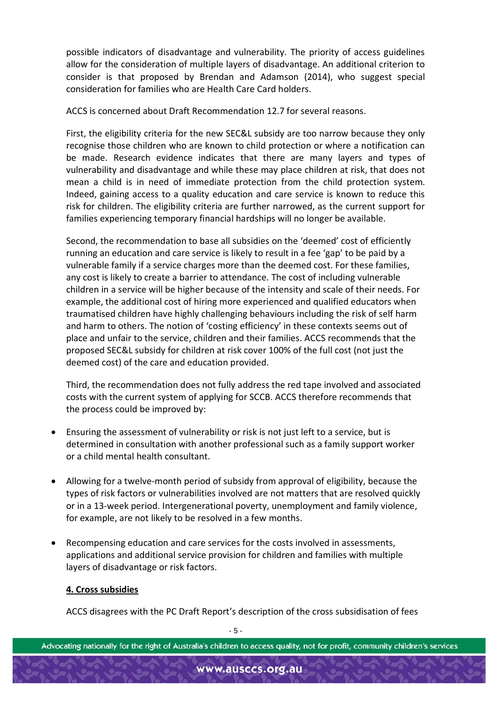possible indicators of disadvantage and vulnerability. The priority of access guidelines allow for the consideration of multiple layers of disadvantage. An additional criterion to consider is that proposed by Brendan and Adamson (2014), who suggest special consideration for families who are Health Care Card holders.

ACCS is concerned about Draft Recommendation 12.7 for several reasons.

First, the eligibility criteria for the new SEC&L subsidy are too narrow because they only recognise those children who are known to child protection or where a notification can be made. Research evidence indicates that there are many layers and types of vulnerability and disadvantage and while these may place children at risk, that does not mean a child is in need of immediate protection from the child protection system. Indeed, gaining access to a quality education and care service is known to reduce this risk for children. The eligibility criteria are further narrowed, as the current support for families experiencing temporary financial hardships will no longer be available.

Second, the recommendation to base all subsidies on the 'deemed' cost of efficiently running an education and care service is likely to result in a fee 'gap' to be paid by a vulnerable family if a service charges more than the deemed cost. For these families, any cost is likely to create a barrier to attendance. The cost of including vulnerable children in a service will be higher because of the intensity and scale of their needs. For example, the additional cost of hiring more experienced and qualified educators when traumatised children have highly challenging behaviours including the risk of self harm and harm to others. The notion of 'costing efficiency' in these contexts seems out of place and unfair to the service, children and their families. ACCS recommends that the proposed SEC&L subsidy for children at risk cover 100% of the full cost (not just the deemed cost) of the care and education provided.

Third, the recommendation does not fully address the red tape involved and associated costs with the current system of applying for SCCB. ACCS therefore recommends that the process could be improved by:

- Ensuring the assessment of vulnerability or risk is not just left to a service, but is determined in consultation with another professional such as a family support worker or a child mental health consultant.
- Allowing for a twelve-month period of subsidy from approval of eligibility, because the types of risk factors or vulnerabilities involved are not matters that are resolved quickly or in a 13-week period. Intergenerational poverty, unemployment and family violence, for example, are not likely to be resolved in a few months.
- Recompensing education and care services for the costs involved in assessments, applications and additional service provision for children and families with multiple layers of disadvantage or risk factors.

# **4. Cross subsidies**

ACCS disagrees with the PC Draft Report's description of the cross subsidisation of fees

- 5 -

Advocating nationally for the right of Australia's children to access quality, not for profit, community children's services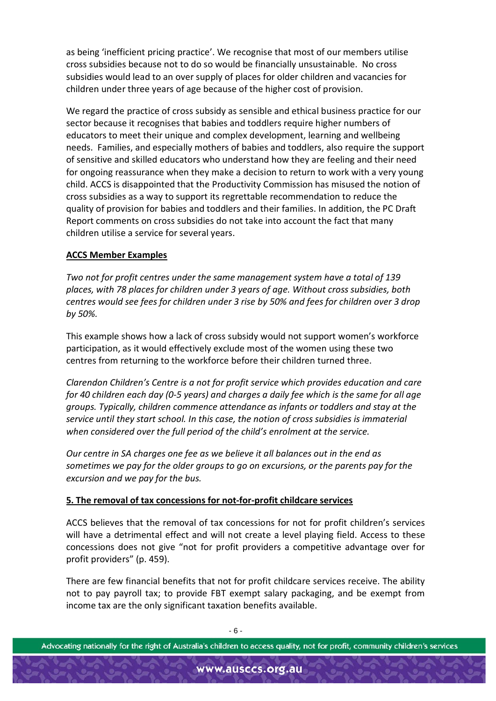as being 'inefficient pricing practice'. We recognise that most of our members utilise cross subsidies because not to do so would be financially unsustainable. No cross subsidies would lead to an over supply of places for older children and vacancies for children under three years of age because of the higher cost of provision.

We regard the practice of cross subsidy as sensible and ethical business practice for our sector because it recognises that babies and toddlers require higher numbers of educators to meet their unique and complex development, learning and wellbeing needs. Families, and especially mothers of babies and toddlers, also require the support of sensitive and skilled educators who understand how they are feeling and their need for ongoing reassurance when they make a decision to return to work with a very young child. ACCS is disappointed that the Productivity Commission has misused the notion of cross subsidies as a way to support its regrettable recommendation to reduce the quality of provision for babies and toddlers and their families. In addition, the PC Draft Report comments on cross subsidies do not take into account the fact that many children utilise a service for several years.

# **ACCS Member Examples**

*Two not for profit centres under the same management system have a total of 139 places, with 78 places for children under 3 years of age. Without cross subsidies, both centres would see fees for children under 3 rise by 50% and fees for children over 3 drop by 50%.* 

This example shows how a lack of cross subsidy would not support women's workforce participation, as it would effectively exclude most of the women using these two centres from returning to the workforce before their children turned three.

*Clarendon Children's Centre is a not for profit service which provides education and care for 40 children each day (0-5 years) and charges a daily fee which is the same for all age groups. Typically, children commence attendance as infants or toddlers and stay at the service until they start school. In this case, the notion of cross subsidies is immaterial when considered over the full period of the child's enrolment at the service.*

*Our centre in SA charges one fee as we believe it all balances out in the end as sometimes we pay for the older groups to go on excursions, or the parents pay for the excursion and we pay for the bus.*

# **5. The removal of tax concessions for not-for-profit childcare services**

ACCS believes that the removal of tax concessions for not for profit children's services will have a detrimental effect and will not create a level playing field. Access to these concessions does not give "not for profit providers a competitive advantage over for profit providers" (p. 459).

There are few financial benefits that not for profit childcare services receive. The ability not to pay payroll tax; to provide FBT exempt salary packaging, and be exempt from income tax are the only significant taxation benefits available.

- 6 -

Advocating nationally for the right of Australia's children to access quality, not for profit, community children's services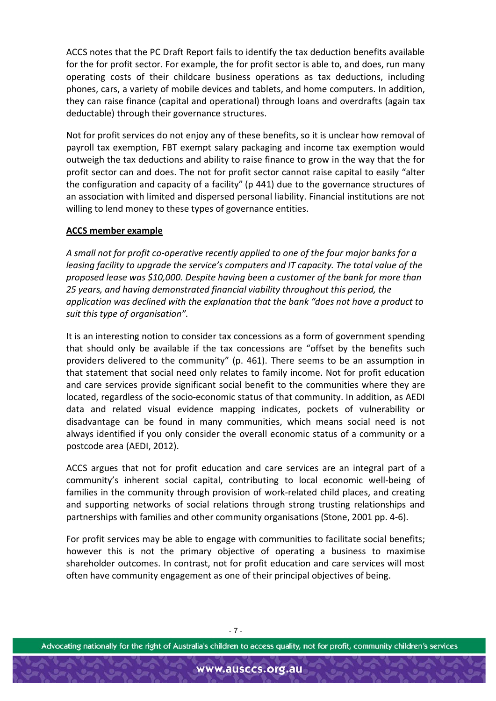ACCS notes that the PC Draft Report fails to identify the tax deduction benefits available for the for profit sector. For example, the for profit sector is able to, and does, run many operating costs of their childcare business operations as tax deductions, including phones, cars, a variety of mobile devices and tablets, and home computers. In addition, they can raise finance (capital and operational) through loans and overdrafts (again tax deductable) through their governance structures.

Not for profit services do not enjoy any of these benefits, so it is unclear how removal of payroll tax exemption, FBT exempt salary packaging and income tax exemption would outweigh the tax deductions and ability to raise finance to grow in the way that the for profit sector can and does. The not for profit sector cannot raise capital to easily "alter the configuration and capacity of a facility" (p 441) due to the governance structures of an association with limited and dispersed personal liability. Financial institutions are not willing to lend money to these types of governance entities.

## **ACCS member example**

*A small not for profit co-operative recently applied to one of the four major banks for a leasing facility to upgrade the service's computers and IT capacity. The total value of the proposed lease was \$10,000. Despite having been a customer of the bank for more than 25 years, and having demonstrated financial viability throughout this period, the application was declined with the explanation that the bank "does not have a product to suit this type of organisation".* 

It is an interesting notion to consider tax concessions as a form of government spending that should only be available if the tax concessions are "offset by the benefits such providers delivered to the community" (p. 461). There seems to be an assumption in that statement that social need only relates to family income. Not for profit education and care services provide significant social benefit to the communities where they are located, regardless of the socio-economic status of that community. In addition, as AEDI data and related visual evidence mapping indicates, pockets of vulnerability or disadvantage can be found in many communities, which means social need is not always identified if you only consider the overall economic status of a community or a postcode area (AEDI, 2012).

ACCS argues that not for profit education and care services are an integral part of a community's inherent social capital, contributing to local economic well-being of families in the community through provision of work-related child places, and creating and supporting networks of social relations through strong trusting relationships and partnerships with families and other community organisations (Stone, 2001 pp. 4-6).

For profit services may be able to engage with communities to facilitate social benefits; however this is not the primary objective of operating a business to maximise shareholder outcomes. In contrast, not for profit education and care services will most often have community engagement as one of their principal objectives of being.

- 7 -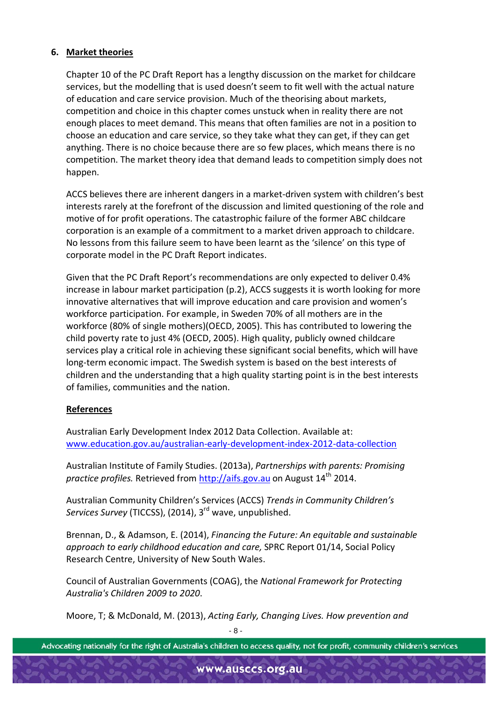# **6. Market theories**

Chapter 10 of the PC Draft Report has a lengthy discussion on the market for childcare services, but the modelling that is used doesn't seem to fit well with the actual nature of education and care service provision. Much of the theorising about markets, competition and choice in this chapter comes unstuck when in reality there are not enough places to meet demand. This means that often families are not in a position to choose an education and care service, so they take what they can get, if they can get anything. There is no choice because there are so few places, which means there is no competition. The market theory idea that demand leads to competition simply does not happen.

ACCS believes there are inherent dangers in a market-driven system with children's best interests rarely at the forefront of the discussion and limited questioning of the role and motive of for profit operations. The catastrophic failure of the former ABC childcare corporation is an example of a commitment to a market driven approach to childcare. No lessons from this failure seem to have been learnt as the 'silence' on this type of corporate model in the PC Draft Report indicates.

Given that the PC Draft Report's recommendations are only expected to deliver 0.4% increase in labour market participation (p.2), ACCS suggests it is worth looking for more innovative alternatives that will improve education and care provision and women's workforce participation. For example, in Sweden 70% of all mothers are in the workforce (80% of single mothers)(OECD, 2005). This has contributed to lowering the child poverty rate to just 4% (OECD, 2005). High quality, publicly owned childcare services play a critical role in achieving these significant social benefits, which will have long-term economic impact. The Swedish system is based on the best interests of children and the understanding that a high quality starting point is in the best interests of families, communities and the nation.

## **References**

Australian Early Development Index 2012 Data Collection. Available at: [www.education.gov.au/australian-early-development-index-2012-data-collection](http://www.education.gov.au/australian-early-development-index-2012-data-collection)

Australian Institute of Family Studies. (2013a), *Partnerships with parents: Promising practice profiles.* Retrieved from [http://aifs.gov.au](http://aifs.gov.au/) on August 14<sup>th</sup> 2014.

Australian Community Children's Services (ACCS) *Trends in Community Children's Services Survey* (TICCSS), (2014), 3rd wave, unpublished.

Brennan, D., & Adamson, E. (2014), *Financing the Future: An equitable and sustainable approach to early childhood education and care,* SPRC Report 01/14, Social Policy Research Centre, University of New South Wales.

Council of Australian Governments (COAG), the *National Framework for Protecting Australia's Children 2009 to 2020*.

 $\mathsf{R}$ . Moore, T; & McDonald, M. (2013), *Acting Early, Changing Lives. How prevention and* 

```
Advocating nationally for the right of Australia's children to access quality, not for profit, community children's services
```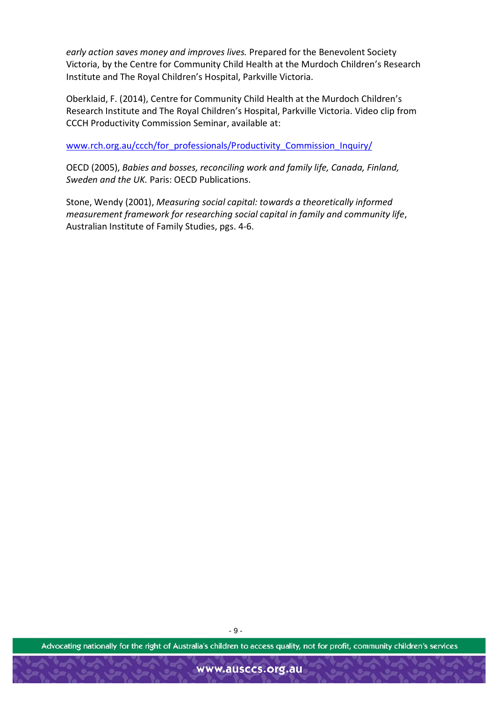*early action saves money and improves lives.* Prepared for the Benevolent Society Victoria, by the Centre for Community Child Health at the Murdoch Children's Research Institute and The Royal Children's Hospital, Parkville Victoria.

Oberklaid, F. (2014), Centre for Community Child Health at the Murdoch Children's Research Institute and The Royal Children's Hospital, Parkville Victoria. Video clip from CCCH Productivity Commission Seminar, available at:

[www.rch.org.au/ccch/for\\_professionals/Productivity\\_Commission\\_Inquiry/](http://www.rch.org.au/ccch/for_professionals/Productivity_Commission_Inquiry/)

OECD (2005), *Babies and bosses, reconciling work and family life, Canada, Finland, Sweden and the UK.* Paris: OECD Publications.

Stone, Wendy (2001), *Measuring social capital: towards a theoretically informed measurement framework for researching social capital in family and community life*, Australian Institute of Family Studies, pgs. 4-6.

Advocating nationally for the right of Australia's children to access quality, not for profit, community children's services

- 9 -

www.ausccs.org.au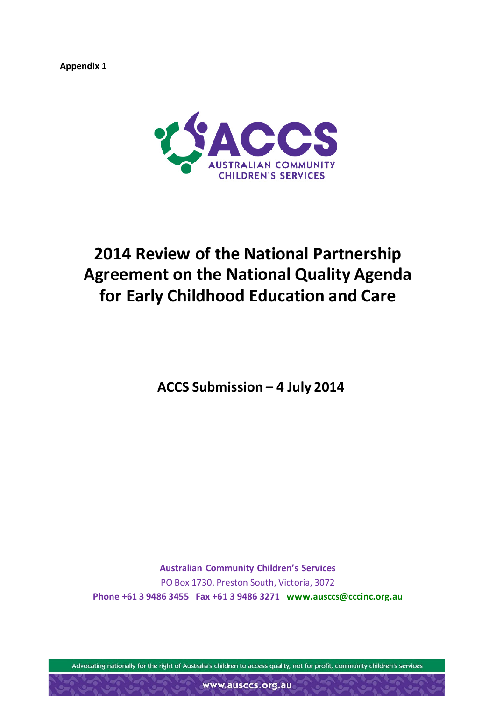**Appendix 1**



# **2014 Review of the National Partnership Agreement on the National Quality Agenda for Early Childhood Education and Care**

**ACCS Submission – 4 July 2014**

**Australian Community Children's Services** PO Box 1730, Preston South, Victoria, 3072 **Phone +61 3 9486 3455 Fax +61 3 9486 3271 [www.ausccs@cccinc.org.au](mailto:www.ausccs@cccinc.org.au)**

Advocating nationally for the right of Australia's children to access quality, not for profit, community children's services

www.ausccs.org.au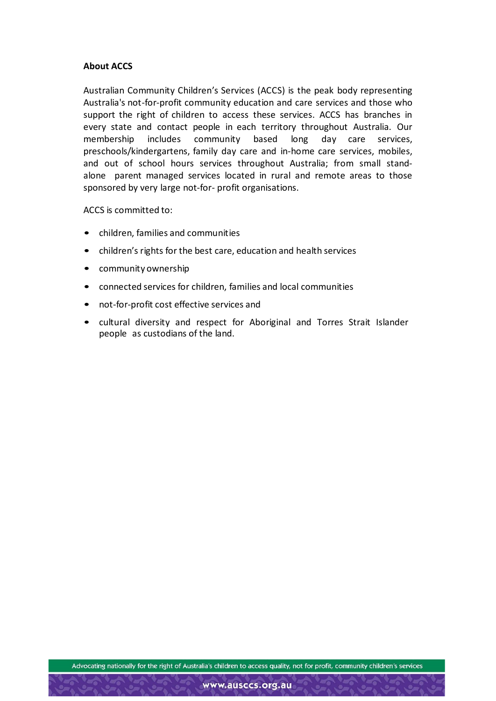### **About ACCS**

Australian Community Children's Services (ACCS) is the peak body representing Australia's not-for-profit community education and care services and those who support the right of children to access these services. ACCS has branches in every state and contact people in each territory throughout Australia. Our membership includes community based long day care services, preschools/kindergartens, family day care and in-home care services, mobiles, and out of school hours services throughout Australia; from small standalone parent managed services located in rural and remote areas to those sponsored by very large not-for- profit organisations.

ACCS is committed to:

- children, families and communities
- children's rights for the best care, education and health services
- community ownership
- connected services for children, families and local communities
- not-for-profit cost effective services and
- cultural diversity and respect for Aboriginal and Torres Strait Islander people as custodians of the land.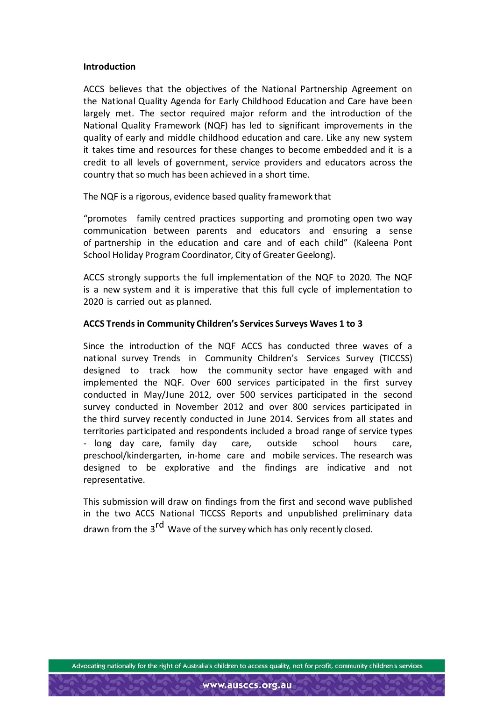### **Introduction**

ACCS believes that the objectives of the National Partnership Agreement on the National Quality Agenda for Early Childhood Education and Care have been largely met. The sector required major reform and the introduction of the National Quality Framework (NQF) has led to significant improvements in the quality of early and middle childhood education and care. Like any new system it takes time and resources for these changes to become embedded and it is a credit to all levels of government, service providers and educators across the country that so much has been achieved in a short time.

The NQF is a rigorous, evidence based quality framework that

"promotes family centred practices supporting and promoting open two way communication between parents and educators and ensuring a sense of partnership in the education and care and of each child" (Kaleena Pont School Holiday Program Coordinator, City of Greater Geelong).

ACCS strongly supports the full implementation of the NQF to 2020. The NQF is a new system and it is imperative that this full cycle of implementation to 2020 is carried out as planned.

### **ACCS Trends in Community Children's Services Surveys Waves 1 to 3**

Since the introduction of the NQF ACCS has conducted three waves of a national survey Trends in Community Children's Services Survey (TICCSS) designed to track how the community sector have engaged with and implemented the NQF. Over 600 services participated in the first survey conducted in May/June 2012, over 500 services participated in the second survey conducted in November 2012 and over 800 services participated in the third survey recently conducted in June 2014. Services from all states and territories participated and respondents included a broad range of service types - long day care, family day care, outside school hours care, preschool/kindergarten, in-home care and mobile services. The research was designed to be explorative and the findings are indicative and not representative.

This submission will draw on findings from the first and second wave published in the two ACCS National TICCSS Reports and unpublished preliminary data drawn from the 3<sup>rd</sup> Wave of the survey which has only recently closed.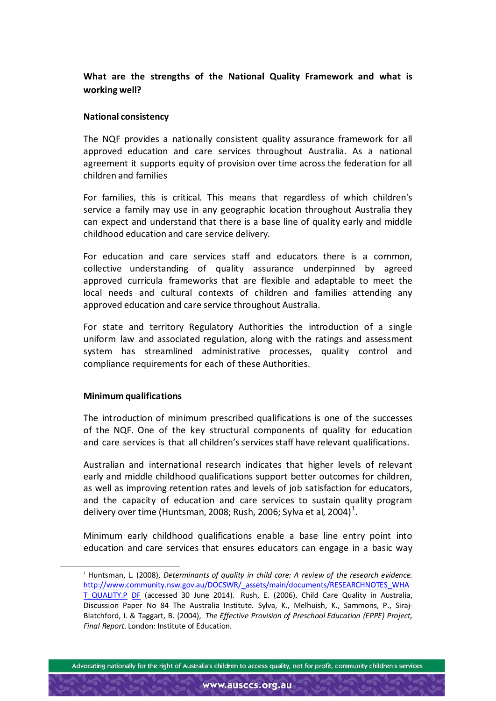# **What are the strengths of the National Quality Framework and what is working well?**

### **National consistency**

The NQF provides a nationally consistent quality assurance framework for all approved education and care services throughout Australia. As a national agreement it supports equity of provision over time across the federation for all children and families

For families, this is critical. This means that regardless of which children's service a family may use in any geographic location throughout Australia they can expect and understand that there is a base line of quality early and middle childhood education and care service delivery.

For education and care services staff and educators there is a common, collective understanding of quality assurance underpinned by agreed approved curricula frameworks that are flexible and adaptable to meet the local needs and cultural contexts of children and families attending any approved education and care service throughout Australia.

For state and territory Regulatory Authorities the introduction of a single uniform law and associated regulation, along with the ratings and assessment system has streamlined administrative processes, quality control and compliance requirements for each of these Authorities.

## **Minimum qualifications**

The introduction of minimum prescribed qualifications is one of the successes of the NQF. One of the key structural components of quality for education and care services is that all children's services staff have relevant qualifications.

Australian and international research indicates that higher levels of relevant early and middle childhood qualifications support better outcomes for children, as well as improving retention rates and levels of job satisfaction for educators, and the capacity of education and care services to sustain quality program delivery over time (Huntsman, 2008; Rush, 2006; Sylva et al, 2004) $^1$  $^1$ .

Minimum early childhood qualifications enable a base line entry point into education and care services that ensures educators can engage in a basic way

<span id="page-12-0"></span> <sup>1</sup> Huntsman, L. (2008), *Determinants of quality in child care: <sup>A</sup> review of the research evidence.* [http://www.community.nsw.gov.au/DOCSWR/\\_assets/main/documents/RESEARCHNOTES\\_WHA](http://www.community.nsw.gov.au/DOCSWR/_assets/main/documents/RESEARCHNOTES_WHAT_QUALITY.P) [T\\_QUALITY.P](http://www.community.nsw.gov.au/DOCSWR/_assets/main/documents/RESEARCHNOTES_WHAT_QUALITY.P) DF (accessed 30 June 2014). Rush, E. (2006), Child Care Quality in Australia, Discussion Paper No 84 The Australia Institute. Sylva, K., Melhuish, K., Sammons, P., Siraj-Blatchford, I. & Taggart, B. (2004), *The Effective Provision of Preschool Education (EPPE) Project, Final Report*. London: Institute of Education.

Advocating nationally for the right of Australia's children to access quality, not for profit, community children's services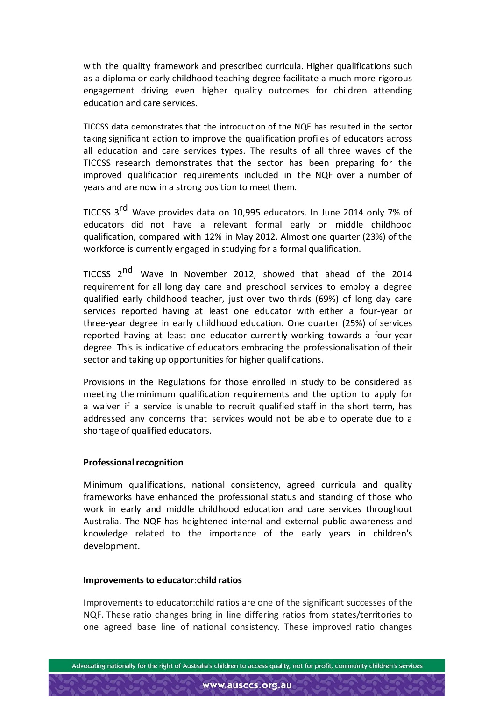with the quality framework and prescribed curricula. Higher qualifications such as a diploma or early childhood teaching degree facilitate a much more rigorous engagement driving even higher quality outcomes for children attending education and care services.

TICCSS data demonstrates that the introduction of the NQF has resulted in the sector taking significant action to improve the qualification profiles of educators across all education and care services types. The results of all three waves of the TICCSS research demonstrates that the sector has been preparing for the improved qualification requirements included in the NQF over a number of years and are now in a strong position to meet them.

TICCSS 3<sup>rd</sup> Wave provides data on 10,995 educators. In June 2014 only 7% of educators did not have a relevant formal early or middle childhood qualification, compared with 12% in May 2012. Almost one quarter (23%) of the workforce is currently engaged in studying for a formal qualification.

TICCSS 2<sup>nd</sup> Wave in November 2012, showed that ahead of the 2014 requirement for all long day care and preschool services to employ a degree qualified early childhood teacher, just over two thirds (69%) of long day care services reported having at least one educator with either a four-year or three-year degree in early childhood education. One quarter (25%) of services reported having at least one educator currently working towards a four-year degree. This is indicative of educators embracing the professionalisation of their sector and taking up opportunities for higher qualifications.

Provisions in the Regulations for those enrolled in study to be considered as meeting the minimum qualification requirements and the option to apply for a waiver if a service is unable to recruit qualified staff in the short term, has addressed any concerns that services would not be able to operate due to a shortage of qualified educators.

### **Professional recognition**

Minimum qualifications, national consistency, agreed curricula and quality frameworks have enhanced the professional status and standing of those who work in early and middle childhood education and care services throughout Australia. The NQF has heightened internal and external public awareness and knowledge related to the importance of the early years in children's development.

### **Improvements to educator:child ratios**

Improvements to educator:child ratios are one of the significant successes of the NQF. These ratio changes bring in line differing ratios from states/territories to one agreed base line of national consistency. These improved ratio changes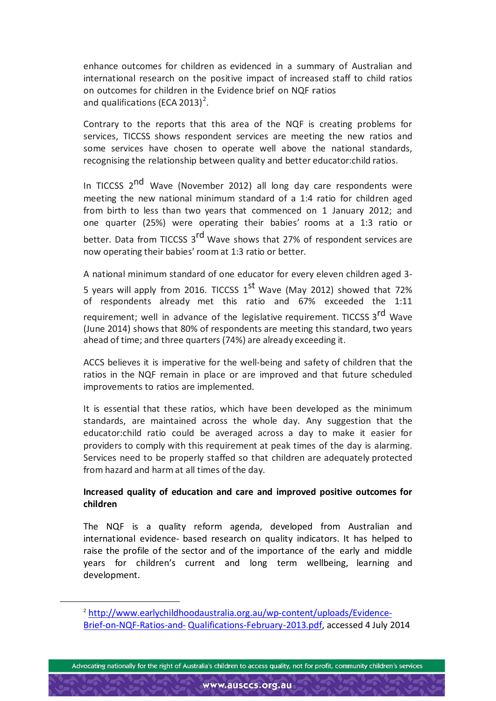enhance outcomes for children as evidenced in a summary of Australian and international research on the positive impact of increased staff to child ratios on outcomes for children in the Evidence brief on NQF ratios and qualifications (ECA [2](#page-14-0)013)<sup>2</sup>.

Contrary to the reports that this area of the NQF is creating problems for services, TICCSS shows respondent services are meeting the new ratios and some services have chosen to operate well above the national standards, recognising the relationship between quality and better educator:child ratios.

In TICCSS 2<sup>nd</sup> Wave (November 2012) all long day care respondents were meeting the new national minimum standard of a 1:4 ratio for children aged from birth to less than two years that commenced on 1 January 2012; and one quarter (25%) were operating their babies' rooms at a 1:3 ratio or better. Data from TICCSS 3<sup>rd</sup> Wave shows that 27% of respondent services are now operating their babies' room at 1:3 ratio or better.

A national minimum standard of one educator for every eleven children aged 3- 5 years will apply from 2016. TICCSS 1<sup>st</sup> Wave (May 2012) showed that 72% of respondents already met this ratio and 67% exceeded the 1:11 requirement; well in advance of the legislative requirement. TICCSS 3<sup>rd</sup> Wave (June 2014) shows that 80% of respondents are meeting this standard, two years ahead of time; and three quarters (74%) are already exceeding it.

ACCS believes it is imperative for the well-being and safety of children that the ratios in the NQF remain in place or are improved and that future scheduled improvements to ratios are implemented.

It is essential that these ratios, which have been developed as the minimum standards, are maintained across the whole day. Any suggestion that the educator:child ratio could be averaged across a day to make it easier for providers to comply with this requirement at peak times of the day is alarming. Services need to be properly staffed so that children are adequately protected from hazard and harm at all times of the day.

# **Increased quality of education and care and improved positive outcomes for children**

The NQF is a quality reform agenda, developed from Australian and international evidence- based research on quality indicators. It has helped to raise the profile of the sector and of the importance of the early and middle years for children's current and long term wellbeing, learning and development.

<span id="page-14-0"></span>j

<sup>2</sup> [http://www.earlychildhoodaustralia.org.au/wp-content/uploads/Evidence-](http://www.earlychildhoodaustralia.org.au/wp-content/uploads/Evidence-Brief-on-NQF-Ratios-and-)[Brief-on-NQF-Ratios-and-](http://www.earlychildhoodaustralia.org.au/wp-content/uploads/Evidence-Brief-on-NQF-Ratios-and-) Qualifications-February-2013.pdf, accessed 4 July 2014

Advocating nationally for the right of Australia's children to access quality, not for profit, community children's services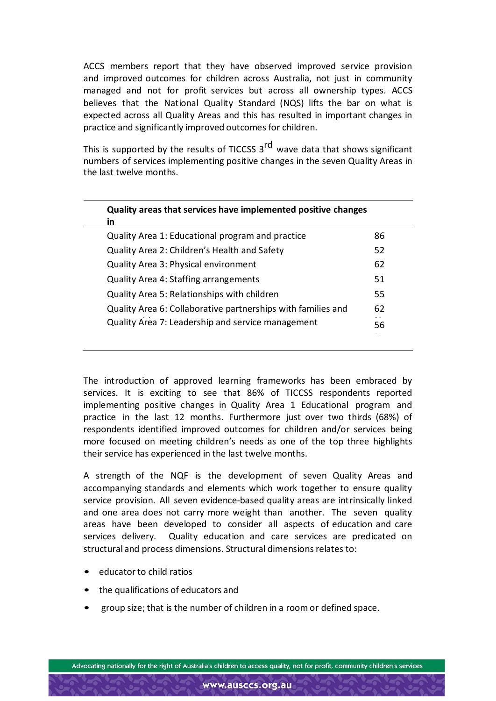ACCS members report that they have observed improved service provision and improved outcomes for children across Australia, not just in community managed and not for profit services but across all ownership types. ACCS believes that the National Quality Standard (NQS) lifts the bar on what is expected across all Quality Areas and this has resulted in important changes in practice and significantly improved outcomes for children.

This is supported by the results of TICCSS  $3^{rd}$  wave data that shows significant numbers of services implementing positive changes in the seven Quality Areas in the last twelve months.

| Quality areas that services have implemented positive changes<br>in |    |
|---------------------------------------------------------------------|----|
| Quality Area 1: Educational program and practice                    | 86 |
| Quality Area 2: Children's Health and Safety                        | 52 |
| Quality Area 3: Physical environment                                | 62 |
| Quality Area 4: Staffing arrangements                               | 51 |
| Quality Area 5: Relationships with children                         | 55 |
| Quality Area 6: Collaborative partnerships with families and        | 62 |
| Quality Area 7: Leadership and service management                   | 56 |
|                                                                     |    |

The introduction of approved learning frameworks has been embraced by services. It is exciting to see that 86% of TICCSS respondents reported implementing positive changes in Quality Area 1 Educational program and practice in the last 12 months. Furthermore just over two thirds (68%) of respondents identified improved outcomes for children and/or services being more focused on meeting children's needs as one of the top three highlights their service has experienced in the last twelve months.

A strength of the NQF is the development of seven Quality Areas and accompanying standards and elements which work together to ensure quality service provision. All seven evidence-based quality areas are intrinsically linked and one area does not carry more weight than another. The seven quality areas have been developed to consider all aspects of education and care services delivery. Quality education and care services are predicated on structural and process dimensions. Structural dimensions relates to:

- educatorto child ratios
- the qualifications of educators and
- group size; that is the number of children in a room or defined space.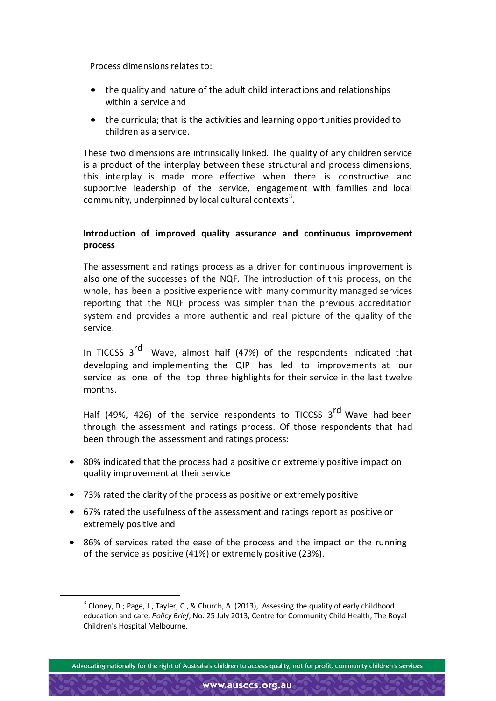Process dimensions relates to:

- the quality and nature of the adult child interactions and relationships within a service and
- the curricula; that is the activities and learning opportunities provided to children as a service.

These two dimensions are intrinsically linked. The quality of any children service is a product of the interplay between these structural and process dimensions; this interplay is made more effective when there is constructive and supportive leadership of the service, engagement with families and local community, underpinned by local cultural contexts<sup>[3](#page-16-0)</sup>.

## **Introduction of improved quality assurance and continuous improvement process**

The assessment and ratings process as a driver for continuous improvement is also one of the successes of the NQF. The introduction of this process, on the whole, has been a positive experience with many community managed services reporting that the NQF process was simpler than the previous accreditation system and provides a more authentic and real picture of the quality of the service.

In TICCSS 3<sup>rd</sup> Wave, almost half (47%) of the respondents indicated that developing and implementing the QIP has led to improvements at our service as one of the top three highlights for their service in the last twelve months.

Half (49%, 426) of the service respondents to TICCSS 3<sup>rd</sup> Wave had been through the assessment and ratings process. Of those respondents that had been through the assessment and ratings process:

- 80% indicated that the process had a positive or extremely positive impact on quality improvement at their service
- 73% rated the clarity of the process as positive or extremely positive
- 67% rated the usefulness of the assessment and ratings report as positive or extremely positive and
- 86% of services rated the ease of the process and the impact on the running of the service as positive (41%) or extremely positive (23%).

<span id="page-16-0"></span> $3$  Cloney, D.; Page, J., Tayler, C., & Church, A. (2013), Assessing the quality of early childhood education and care, *Policy Brief*, No. 25 July 2013, Centre for Community Child Health, The Royal Children's Hospital Melbourne.

Advocating nationally for the right of Australia's children to access quality, not for profit, community children's services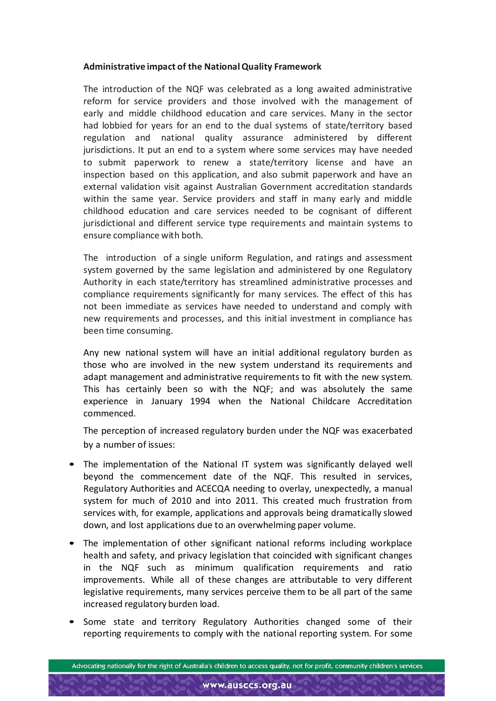## **Administrative impact of the NationalQuality Framework**

The introduction of the NQF was celebrated as a long awaited administrative reform for service providers and those involved with the management of early and middle childhood education and care services. Many in the sector had lobbied for years for an end to the dual systems of state/territory based regulation and national quality assurance administered by different jurisdictions. It put an end to a system where some services may have needed to submit paperwork to renew a state/territory license and have an inspection based on this application, and also submit paperwork and have an external validation visit against Australian Government accreditation standards within the same year. Service providers and staff in many early and middle childhood education and care services needed to be cognisant of different jurisdictional and different service type requirements and maintain systems to ensure compliance with both.

The introduction of a single uniform Regulation, and ratings and assessment system governed by the same legislation and administered by one Regulatory Authority in each state/territory has streamlined administrative processes and compliance requirements significantly for many services. The effect of this has not been immediate as services have needed to understand and comply with new requirements and processes, and this initial investment in compliance has been time consuming.

Any new national system will have an initial additional regulatory burden as those who are involved in the new system understand its requirements and adapt management and administrative requirements to fit with the new system. This has certainly been so with the NQF; and was absolutely the same experience in January 1994 when the National Childcare Accreditation commenced.

The perception of increased regulatory burden under the NQF was exacerbated by a number of issues:

- The implementation of the National IT system was significantly delayed well beyond the commencement date of the NQF. This resulted in services, Regulatory Authorities and ACECQA needing to overlay, unexpectedly, a manual system for much of 2010 and into 2011. This created much frustration from services with, for example, applications and approvals being dramatically slowed down, and lost applications due to an overwhelming paper volume.
- The implementation of other significant national reforms including workplace health and safety, and privacy legislation that coincided with significant changes in the NQF such as minimum qualification requirements and ratio improvements. While all of these changes are attributable to very different legislative requirements, many services perceive them to be all part of the same increased regulatory burden load.
- Some state and territory Regulatory Authorities changed some of their reporting requirements to comply with the national reporting system. For some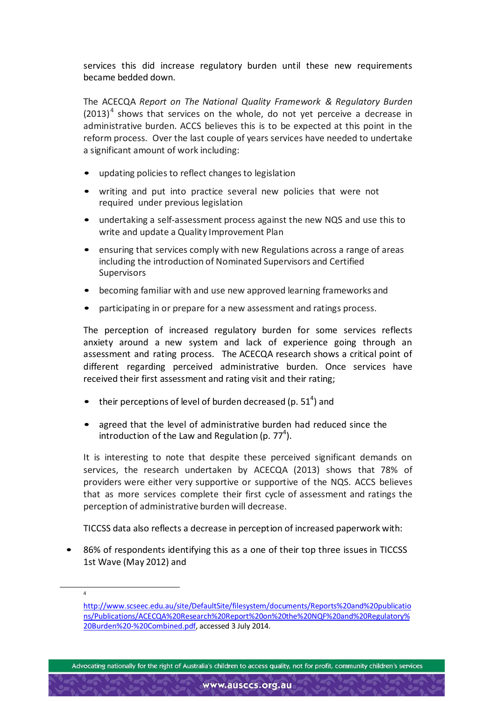services this did increase regulatory burden until these new requirements became bedded down.

The ACECQA *Report on The National Quality Framework & Regulatory Burden*  $(2013)^4$  $(2013)^4$  shows that services on the whole, do not yet perceive a decrease in administrative burden. ACCS believes this is to be expected at this point in the reform process. Over the last couple of years services have needed to undertake a significant amount of work including:

- updating policies to reflect changes to legislation
- writing and put into practice several new policies that were not required under previous legislation
- undertaking a self-assessment process against the new NQS and use this to write and update a Quality Improvement Plan
- ensuring that services comply with new Regulations across a range of areas including the introduction of Nominated Supervisors and Certified Supervisors
- becoming familiar with and use new approved learning frameworks and
- participating in or prepare for a new assessment and ratings process.

The perception of increased regulatory burden for some services reflects anxiety around a new system and lack of experience going through an assessment and rating process. The ACECQA research shows a critical point of different regarding perceived administrative burden. Once services have received their first assessment and rating visit and their rating;

- their perceptions of level of burden decreased (p.  $51<sup>4</sup>$ ) and
- agreed that the level of administrative burden had reduced since the introduction of the Law and Regulation (p.  $77<sup>4</sup>$ ).

It is interesting to note that despite these perceived significant demands on services, the research undertaken by ACECQA (2013) shows that 78% of providers were either very supportive or supportive of the NQS. ACCS believes that as more services complete their first cycle of assessment and ratings the perception of administrative burden will decrease.

TICCSS data also reflects a decrease in perception of increased paperwork with:

86% of respondents identifying this as a one of their top three issues in TICCSS 1st Wave (May 2012) and

<span id="page-18-0"></span> $\overline{4}$ 

[http://www.scseec.edu.au/site/DefaultSite/filesystem/documents/Reports%20and%20publicatio](http://www.scseec.edu.au/site/DefaultSite/filesystem/documents/Reports%20and%20publications/Publicatio) [ns/Publication](http://www.scseec.edu.au/site/DefaultSite/filesystem/documents/Reports%20and%20publications/Publicatio)s/ACECQA%20Research%20Report%20on%20the%20NQF%20and%20Regulatory% 20Burden%20-%20Combined.pdf, accessed 3 July 2014.

Advocating nationally for the right of Australia's children to access quality, not for profit, community children's services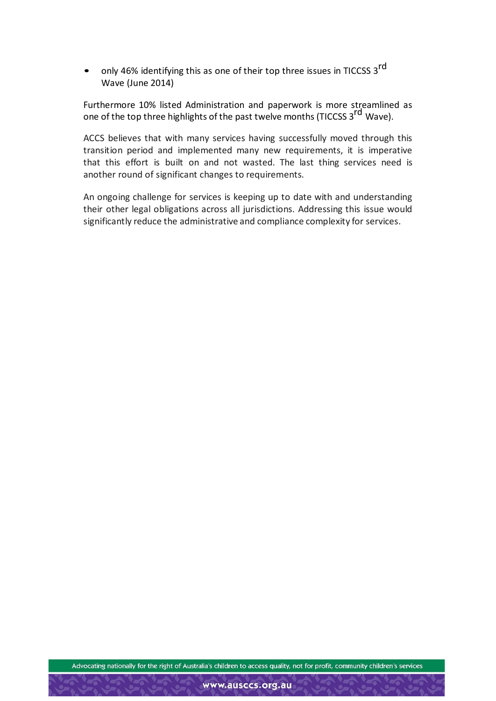only 46% identifying this as one of their top three issues in TICCSS 3<sup>rd</sup> Wave (June 2014)

Furthermore 10% listed Administration and paperwork is more streamlined as one of the top three highlights of the past twelve months (TICCSS 3<sup>rd</sup> Wave).

ACCS believes that with many services having successfully moved through this transition period and implemented many new requirements, it is imperative that this effort is built on and not wasted. The last thing services need is another round of significant changes to requirements.

An ongoing challenge for services is keeping up to date with and understanding their other legal obligations across all jurisdictions. Addressing this issue would significantly reduce the administrative and compliance complexity for services.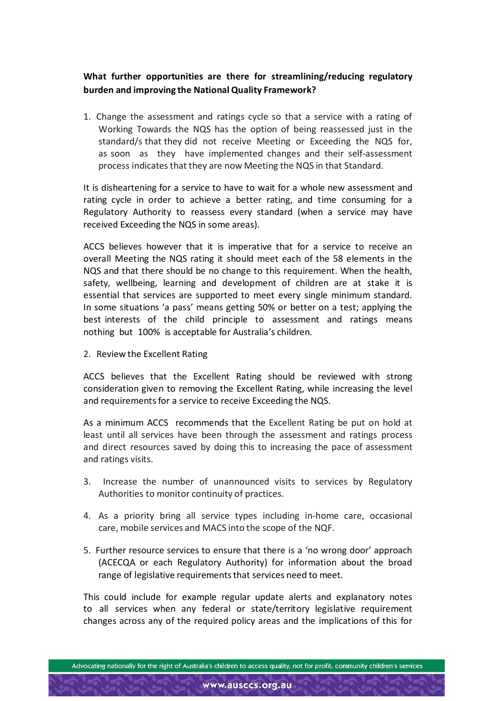# **What further opportunities are there for streamlining/reducing regulatory burden and improving the National Quality Framework?**

1. Change the assessment and ratings cycle so that a service with a rating of Working Towards the NQS has the option of being reassessed just in the standard/s that they did not receive Meeting or Exceeding the NQS for, as soon as they have implemented changes and their self-assessment process indicates that they are now Meeting the NQS in that Standard.

It is disheartening for a service to have to wait for a whole new assessment and rating cycle in order to achieve a better rating, and time consuming for a Regulatory Authority to reassess every standard (when a service may have received Exceeding the NQS in some areas).

ACCS believes however that it is imperative that for a service to receive an overall Meeting the NQS rating it should meet each of the 58 elements in the NQS and that there should be no change to this requirement. When the health, safety, wellbeing, learning and development of children are at stake it is essential that services are supported to meet every single minimum standard. In some situations 'a pass' means getting 50% or better on a test; applying the best interests of the child principle to assessment and ratings means nothing but 100% is acceptable for Australia's children.

2. Review the Excellent Rating

ACCS believes that the Excellent Rating should be reviewed with strong consideration given to removing the Excellent Rating, while increasing the level and requirements for a service to receive Exceeding the NQS.

As a minimum ACCS recommends that the Excellent Rating be put on hold at least until all services have been through the assessment and ratings process and direct resources saved by doing this to increasing the pace of assessment and ratings visits.

- 3. Increase the number of unannounced visits to services by Regulatory Authorities to monitor continuity of practices.
- 4. As a priority bring all service types including in-home care, occasional care, mobile services and MACS into the scope of the NQF.
- 5. Further resource services to ensure that there is a 'no wrong door' approach (ACECQA or each Regulatory Authority) for information about the broad range of legislative requirements that services need to meet.

This could include for example regular update alerts and explanatory notes to all services when any federal or state/territory legislative requirement changes across any of the required policy areas and the implications of this for